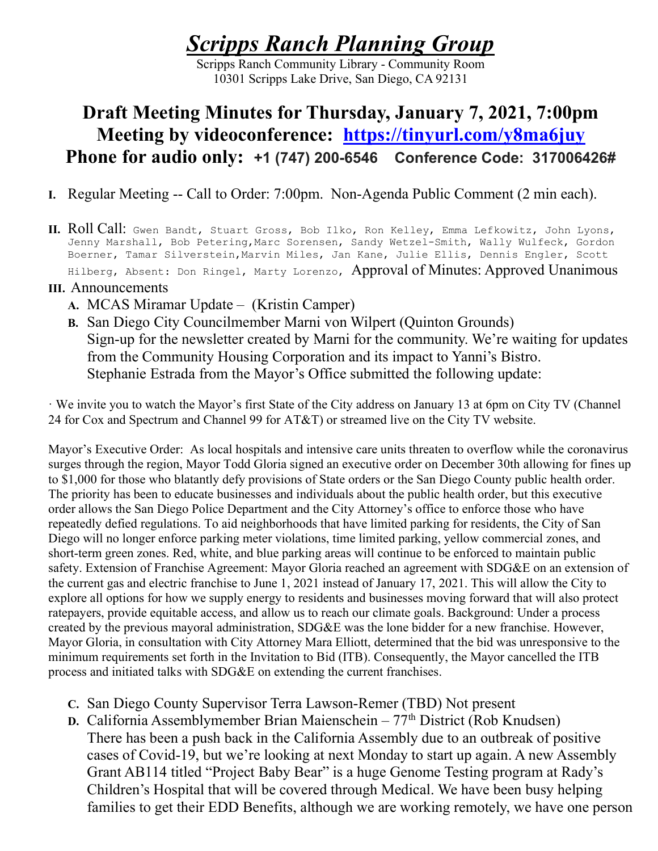# Scripps Ranch Planning Group

Scripps Ranch Community Library - Community Room 10301 Scripps Lake Drive, San Diego, CA 92131

# Draft Meeting Minutes for Thursday, January 7, 2021, 7:00pm Meeting by videoconference: https://tinyurl.com/y8ma6juy Phone for audio only: +1 (747) 200-6546 Conference Code: 317006426#

- I. Regular Meeting -- Call to Order: 7:00pm. Non-Agenda Public Comment (2 min each).
- II. Roll Call: Gwen Bandt, Stuart Gross, Bob Ilko, Ron Kelley, Emma Lefkowitz, John Lyons, Jenny Marshall, Bob Petering, Marc Sorensen, Sandy Wetzel-Smith, Wally Wulfeck, Gordon Boerner, Tamar Silverstein,Marvin Miles, Jan Kane, Julie Ellis, Dennis Engler, Scott Hilberg, Absent: Don Ringel, Marty Lorenzo, Approval of Minutes: Approved Unanimous

#### III. Announcements

- A. MCAS Miramar Update (Kristin Camper)
- B. San Diego City Councilmember Marni von Wilpert (Quinton Grounds) Sign-up for the newsletter created by Marni for the community. We're waiting for updates from the Community Housing Corporation and its impact to Yanni's Bistro. Stephanie Estrada from the Mayor's Office submitted the following update:

· We invite you to watch the Mayor's first State of the City address on January 13 at 6pm on City TV (Channel 24 for Cox and Spectrum and Channel 99 for AT&T) or streamed live on the City TV website.

Mayor's Executive Order: As local hospitals and intensive care units threaten to overflow while the coronavirus surges through the region, Mayor Todd Gloria signed an executive order on December 30th allowing for fines up to \$1,000 for those who blatantly defy provisions of State orders or the San Diego County public health order. The priority has been to educate businesses and individuals about the public health order, but this executive order allows the San Diego Police Department and the City Attorney's office to enforce those who have repeatedly defied regulations. To aid neighborhoods that have limited parking for residents, the City of San Diego will no longer enforce parking meter violations, time limited parking, yellow commercial zones, and short-term green zones. Red, white, and blue parking areas will continue to be enforced to maintain public safety. Extension of Franchise Agreement: Mayor Gloria reached an agreement with SDG&E on an extension of the current gas and electric franchise to June 1, 2021 instead of January 17, 2021. This will allow the City to explore all options for how we supply energy to residents and businesses moving forward that will also protect ratepayers, provide equitable access, and allow us to reach our climate goals. Background: Under a process created by the previous mayoral administration, SDG&E was the lone bidder for a new franchise. However, Mayor Gloria, in consultation with City Attorney Mara Elliott, determined that the bid was unresponsive to the minimum requirements set forth in the Invitation to Bid (ITB). Consequently, the Mayor cancelled the ITB process and initiated talks with SDG&E on extending the current franchises.

- C. San Diego County Supervisor Terra Lawson-Remer (TBD) Not present
- D. California Assemblymember Brian Maienschein  $77<sup>th</sup>$  District (Rob Knudsen) There has been a push back in the California Assembly due to an outbreak of positive cases of Covid-19, but we're looking at next Monday to start up again. A new Assembly Grant AB114 titled "Project Baby Bear" is a huge Genome Testing program at Rady's Children's Hospital that will be covered through Medical. We have been busy helping families to get their EDD Benefits, although we are working remotely, we have one person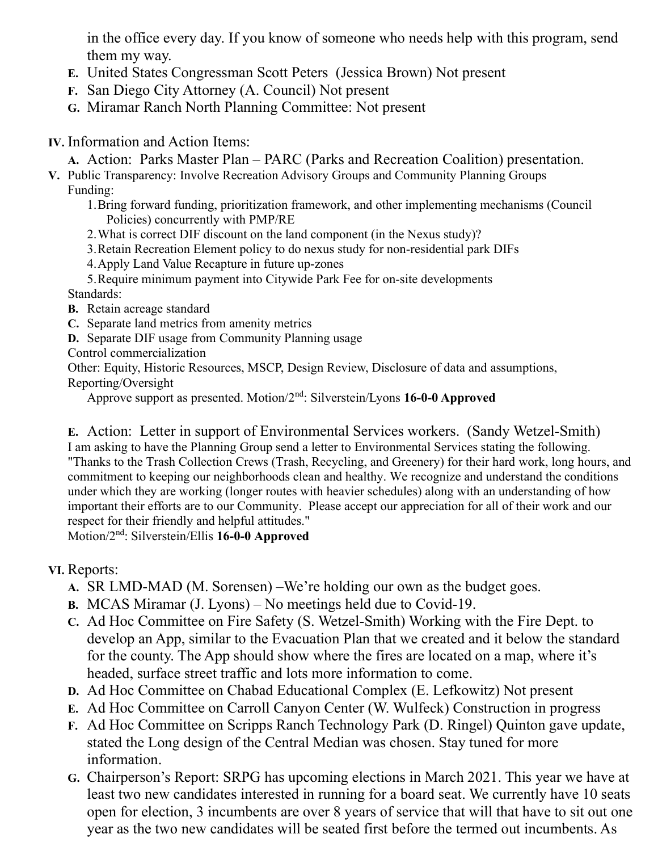in the office every day. If you know of someone who needs help with this program, send them my way.

- E. United States Congressman Scott Peters (Jessica Brown) Not present
- F. San Diego City Attorney (A. Council) Not present
- G. Miramar Ranch North Planning Committee: Not present

### IV. Information and Action Items:

A. Action: Parks Master Plan – PARC (Parks and Recreation Coalition) presentation.

V. Public Transparency: Involve Recreation Advisory Groups and Community Planning Groups Funding:

1.Bring forward funding, prioritization framework, and other implementing mechanisms (Council Policies) concurrently with PMP/RE

2.What is correct DIF discount on the land component (in the Nexus study)?

3.Retain Recreation Element policy to do nexus study for non-residential park DIFs

4.Apply Land Value Recapture in future up-zones

5.Require minimum payment into Citywide Park Fee for on-site developments Standards:

- B. Retain acreage standard
- C. Separate land metrics from amenity metrics
- D. Separate DIF usage from Community Planning usage

Control commercialization

Other: Equity, Historic Resources, MSCP, Design Review, Disclosure of data and assumptions, Reporting/Oversight

Approve support as presented. Motion/2nd: Silverstein/Lyons 16-0-0 Approved

E. Action: Letter in support of Environmental Services workers. (Sandy Wetzel-Smith) I am asking to have the Planning Group send a letter to Environmental Services stating the following. "Thanks to the Trash Collection Crews (Trash, Recycling, and Greenery) for their hard work, long hours, and commitment to keeping our neighborhoods clean and healthy. We recognize and understand the conditions under which they are working (longer routes with heavier schedules) along with an understanding of how important their efforts are to our Community. Please accept our appreciation for all of their work and our respect for their friendly and helpful attitudes."

Motion/2nd: Silverstein/Ellis 16-0-0 Approved

## VI. Reports:

- A. SR LMD-MAD (M. Sorensen) –We're holding our own as the budget goes.
- B. MCAS Miramar (J. Lyons) No meetings held due to Covid-19.
- C. Ad Hoc Committee on Fire Safety (S. Wetzel-Smith) Working with the Fire Dept. to develop an App, similar to the Evacuation Plan that we created and it below the standard for the county. The App should show where the fires are located on a map, where it's headed, surface street traffic and lots more information to come.
- D. Ad Hoc Committee on Chabad Educational Complex (E. Lefkowitz) Not present
- E. Ad Hoc Committee on Carroll Canyon Center (W. Wulfeck) Construction in progress
- F. Ad Hoc Committee on Scripps Ranch Technology Park (D. Ringel) Quinton gave update, stated the Long design of the Central Median was chosen. Stay tuned for more information.
- G. Chairperson's Report: SRPG has upcoming elections in March 2021. This year we have at least two new candidates interested in running for a board seat. We currently have 10 seats open for election, 3 incumbents are over 8 years of service that will that have to sit out one year as the two new candidates will be seated first before the termed out incumbents. As